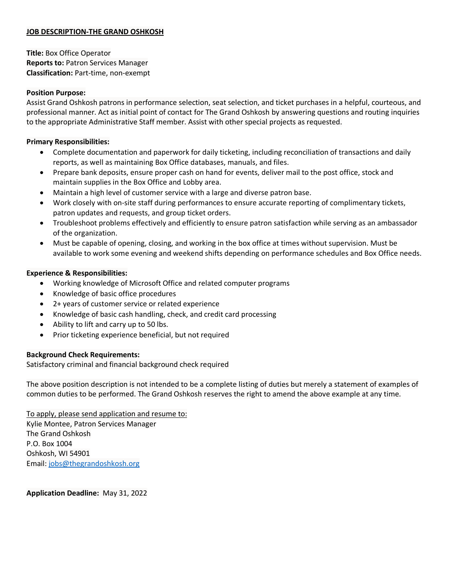## **JOB DESCRIPTION-THE GRAND OSHKOSH**

**Title:** Box Office Operator **Reports to:** Patron Services Manager **Classification:** Part-time, non-exempt

#### **Position Purpose:**

Assist Grand Oshkosh patrons in performance selection, seat selection, and ticket purchases in a helpful, courteous, and professional manner. Act as initial point of contact for The Grand Oshkosh by answering questions and routing inquiries to the appropriate Administrative Staff member. Assist with other special projects as requested.

#### **Primary Responsibilities:**

- Complete documentation and paperwork for daily ticketing, including reconciliation of transactions and daily reports, as well as maintaining Box Office databases, manuals, and files.
- Prepare bank deposits, ensure proper cash on hand for events, deliver mail to the post office, stock and maintain supplies in the Box Office and Lobby area.
- Maintain a high level of customer service with a large and diverse patron base.
- Work closely with on-site staff during performances to ensure accurate reporting of complimentary tickets, patron updates and requests, and group ticket orders.
- Troubleshoot problems effectively and efficiently to ensure patron satisfaction while serving as an ambassador of the organization.
- Must be capable of opening, closing, and working in the box office at times without supervision. Must be available to work some evening and weekend shifts depending on performance schedules and Box Office needs.

#### **Experience & Responsibilities:**

- Working knowledge of Microsoft Office and related computer programs
- Knowledge of basic office procedures
- 2+ years of customer service or related experience
- Knowledge of basic cash handling, check, and credit card processing
- Ability to lift and carry up to 50 lbs.
- Prior ticketing experience beneficial, but not required

## **Background Check Requirements:**

Satisfactory criminal and financial background check required

The above position description is not intended to be a complete listing of duties but merely a statement of examples of common duties to be performed. The Grand Oshkosh reserves the right to amend the above example at any time.

To apply, please send application and resume to: Kylie Montee, Patron Services Manager The Grand Oshkosh P.O. Box 1004 Oshkosh, WI 54901 Email: [jobs@thegrandoshkosh.org](mailto:jobs@thegrandoshkosh.org) 

**Application Deadline:** May 31, 2022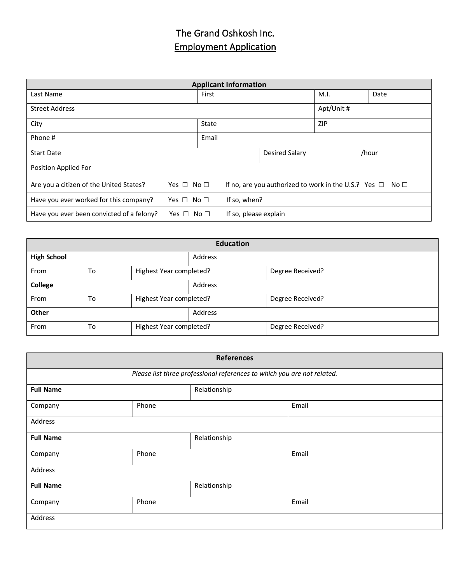# The Grand Oshkosh Inc. Employment Application

| <b>Applicant Information</b>              |                         |                |                                                                     |       |            |      |
|-------------------------------------------|-------------------------|----------------|---------------------------------------------------------------------|-------|------------|------|
| Last Name                                 |                         | First          |                                                                     |       | M.I.       | Date |
| <b>Street Address</b>                     |                         |                |                                                                     |       | Apt/Unit # |      |
| City                                      |                         | State          |                                                                     | ZIP   |            |      |
| Phone #                                   |                         | Email          |                                                                     |       |            |      |
| <b>Start Date</b>                         |                         | Desired Salary |                                                                     | /hour |            |      |
| Position Applied For                      |                         |                |                                                                     |       |            |      |
| Are you a citizen of the United States?   | No $\Box$<br>Yes $\Box$ |                | If no, are you authorized to work in the U.S.? Yes $\Box$ No $\Box$ |       |            |      |
| Have you ever worked for this company?    | Yes $\Box$ No $\Box$    |                | If so, when?                                                        |       |            |      |
| Have you ever been convicted of a felony? | Yes $\Box$              | No $\Box$      | If so, please explain                                               |       |            |      |

| <b>Education</b>   |    |                         |         |                  |
|--------------------|----|-------------------------|---------|------------------|
| <b>High School</b> |    | Address                 |         |                  |
| From               | To | Highest Year completed? |         | Degree Received? |
| College            |    |                         | Address |                  |
| From               | To | Highest Year completed? |         | Degree Received? |
| Other              |    |                         | Address |                  |
| From               | To | Highest Year completed? |         | Degree Received? |

| <b>References</b> |       |              |                                                                         |  |
|-------------------|-------|--------------|-------------------------------------------------------------------------|--|
|                   |       |              | Please list three professional references to which you are not related. |  |
| <b>Full Name</b>  |       | Relationship |                                                                         |  |
| Company           | Phone |              | Email                                                                   |  |
| Address           |       |              |                                                                         |  |
| <b>Full Name</b>  |       | Relationship |                                                                         |  |
| Company           | Phone |              | Email                                                                   |  |
| Address           |       |              |                                                                         |  |
| <b>Full Name</b>  |       | Relationship |                                                                         |  |
| Company           | Phone |              | Email                                                                   |  |
| Address           |       |              |                                                                         |  |